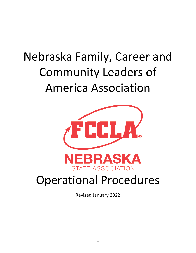# Nebraska Family, Career and Community Leaders of America Association



# Operational Procedures

Revised January 2022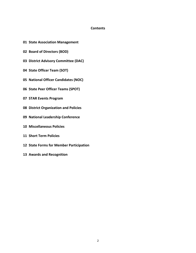# **Contents**

- **State Association Management**
- **Board of Directors (BOD)**
- **District Advisory Committee (DAC)**
- **State Officer Team (SOT)**
- **National Officer Candidates (NOC)**
- **State Peer Officer Teams (SPOT)**
- **STAR Events Program**
- **District Organization and Policies**
- **National Leadership Conference**
- **Miscellaneous Policies**
- **Short Term Policies**
- **State Forms for Member Participation**
- **Awards and Recognition**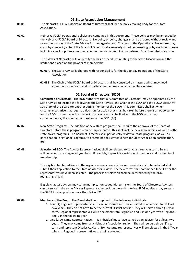# **01 State Association Management**

- **01.01** The Nebraska FCCLA Association Board of Directors shall be the policy making body for the State Association.
- **01.02** Nebraska FCCLA operational policies are contained in this document. These policies may be amended by the Nebraska FCCLA Board of Directors. No policy or policy changes shall be enacted without review and recommendation of the State Adviser for the organization. Changes to the Operational Procedures may occur by a majority vote of the Board of Directors at a regularly scheduled meeting or by electronic means including email or phone communication as long as communication between Board members can occur.
- **01.03** The bylaws of Nebraska FCCLA identify the basic procedures relating to the State Association and the limitations placed on the powers of membership.
	- **01.03A** The State Adviser is charged with responsibility for the day-to-day operations of the State Association.
	- **01.03B** The Chair of the FCCLA Board of Directors shall be consulted on matters which may need attention by the Board and in matters deemed necessary by the State Adviser.

#### **02 Board of Directors (BOD)**

- **02.01 Committee of Directors**. The BOD authorizes that a "Committee of Directors" may be appointed by the State Adviser to include the following: the State Adviser, the Chair of the BOD, and the FCCLA Executive Secretary of the Board (or another voting member of the BOD). This committee shall act when circumstances arise that require a decision for action that must be taken before there is an opportunity for the BOD to meet. A written report of any action shall be filed with the BOD in the next correspondence, the minutes, or meeting of the BOD. (16)
- **02.02 New State Programs.** The addition of new state programs shall require the approval of the Board of Directors before these programs can be implemented. This shall include new scholarships, as well as other state award programs. The Board of Directors shall periodically review all state programs, as well as participation in National Programs, to determine their effectiveness for State Association participation. (96)
- **02.03 Selection of BOD**. The Adviser Representatives shall be selected to serve a three-year term. Terms will be served on a staggered year basis, if possible, to provide a rotation of members and continuity of membership.

The eligible chapter advisers in the regions where a new adviser representative is to be selected shall submit their application to the State Adviser for review. The new terms shall commence June 1 after the representatives have been selected. The process of selection shall be determined by the BOD. (97) (12) (15) (22)

Eligible chapter advisers may serve multiple, non-sequential terms on the Board of Directors. Advisers cannot serve in the same Adviser Representative position more than twice. SPOT Advisers may serve in the SPOT Adviser position more than twice. (22)

**02.04 Members of the Board** The Board shall be comprised of the following individuals:

- 1. Four (4) Regional Representatives. These individuals must have served as an adviser for at least two years. They do not have to be the current District Adviser. They will serve a three (3) year term. Regional representatives will be selected from Regions A and C in one year with Regions B and D in the following year.
- 2. One (1) At-Large Representative. This individual must have served as an adviser for at least two years. They may come from any Nebraska Association region. They will serve a three (3) year term and represent District Advisers (19). At-large representatives will be selected in the 3<sup>rd</sup> year when no Regional representatives are being selected.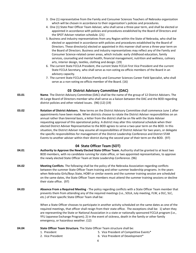- 3. One (1) representative from the Family and Consumer Sciences Teachers of Nebraska organization which will be chosen in accordance to their organization's policies and procedures.
- 4. One (1) State Peer Officer Team Adviser*,* who shall serve a three-year term, and shall be elected or appointed in accordance with policies and procedures established by the Board of Directors and the SPOT Adviser rotation schedule. (21)
- 5. Business and industry representatives from any Region within the State of Nebraska, who shall be elected or appointed in accordance with policies and procedures established by the Board of Directors. These director(s) elected or appointed in this manner shall serve a three-year term on the Board of Directors. Business and industry representatives may reflect any of the Family and Consumer Science-related career areas, which include: early childhood education, family services, counseling and mental health, financial management, nutrition and wellness, culinary arts, interior design, textiles, clothing and design. (19)
- 6. The current State FCCLA President, the current State FCCLA First Vice President and the current State FCCLA Secretary, who shall serve as non-voting ex-officio members of the Board in an advisory capacity.
- 7. The current State FCCLA Adviser/Family and Consumer Sciences Career Field Specialist, who shall serve as a non-voting ex-officio member of the Board. (16)

# **03 District Advisory Committee (DAC)**

- **03.01 Name**. The District Advisory Committee (DAC) shall be the name of the group of 12 District Advisers. The At-Large Board of Directors member who shall serve as a liaison between the DAC and the BOD regarding district policies and other related issues. (96) (12) (19)
- **03.02 Rotation of District Advisers.** New terms on the District Advisory Committee shall commence June 1 after appointments have been made. When districts choose to rotate the District Adviser responsibilities on an annual rather than biennial basis, a letter from the district shall be on file with the State Adviser requesting approval of this operational policy. A district may alter this rotational schedule when their elected District Adviser Representative to the BOD agrees to serve a two-year term on the BOD. In this situation, the District Adviser may assume all responsibilities of District Adviser for two years, or delegate the specific responsibilities for management of the District Leadership Conference and District STAR Events to another adviser within their district during the second year of their term on the BOD. (97)

# **04 State Officer Team (SOT)**

- **04.01 Authority to Approve the Newly Elected State Officer Team.** Authority shall be granted to at least two BOD members, with no candidate running for state office, or two appointed representatives, to approve the newly elected State Officer Team at State Leadership Conference. (96)
- **04.02 Meeting Conflicts**. The following shall be the policy of the Nebraska Association regarding conflicts between the summer State Officer Team training and other summer leadership programs. In the years when Nebraska Girls/Boys State, HOBY or similar events and the summer training session are scheduled on the same dates, the State Officer Team members must attend the summer training sessions or decline their state office. (97)
- **04.03 Absence From a Required Meeting** The policy regarding conflicts with a State Officer Team member that prevents them from attending any of the required meetings (i.e., SOLA, July meeting, FLW, a DLC, SLC, etc.) of their specific State Officer Team shall be:

When a State Officer chooses to participate in another activity scheduled on the same dates as one of the required meetings, that officer shall resign from their state office. The exceptions shall be: 1) when they are representing the State or National Association in a state or nationally sponsored FCCLA program (i.e., YFU Japanese Exchange Program); 2) in the event of sickness, death in the family or other family emergency, or hazardous weather. (12)

#### **04.04 State Officer Team Structure.** The State Officer Team structure shall be:

- 
- 1. President 1. President 5. Vice President of Competitive Events\*
- 2. Vice President **6.** Vice President of Development\*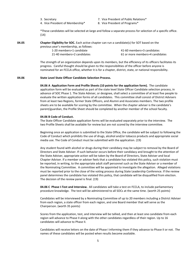- 
- 4. Vice President of Membership\* 8. Vice President of Programs\*
- 3. Secretary 7. Vice President of Public Relations\*
	-

\*These candidates will be selected at-large and follow a separate process for selection of a specific office. (14)

| 04.05 |  |  | <b>Chapter Eligibility for SOC.</b> Each active chapter can run a candidate(s) for SOT based on the |
|-------|--|--|-----------------------------------------------------------------------------------------------------|
|-------|--|--|-----------------------------------------------------------------------------------------------------|

| previous year's membership, as follows: |                                 |
|-----------------------------------------|---------------------------------|
| 1-20 members=1 candidate                | 41-60 members=3 candidates      |
| 21-40 members=2 candidates              | 61 or more members=4 candidates |

The strength of an organization depends upon its members, but the efficiency of its officers facilitates its progress. Careful thought should be given to the responsibilities of the officer before anyone is nominated for an FCCLA office, whether it is for a chapter, district, state, or national responsibility.

#### **04.06 State Level State Officer Candidate Selection Process.**

**04.06 A Application Form and Profile Sheets (10 points for the application form).** The candidate application form will be evaluated as part of the state level State Officer Candidate selection process, in advance of SOC Phase 1. The State Adviser, or designee, shall select a committee of at least five people to evaluate the written application forms of all candidates. This committee shall consist of District Advisers from at least two Regions, former State Officers, and Alumni and Associates members. The two profile sheets are to be available for scoring by the committee. When the chapter adviser is the candidate's parent/guardian, the Profile Sheet should be completed by another member of the school faculty.

#### **04.06 B Code of Conduct.**

The State Officer Candidate application forms will be evaluated separately prior to the interview. The two Profile Sheets shall be available for review but are not scored by the interview committee.

Beginning once an application is submitted to the State Office, the candidate will be subject to following the Code of Conduct which prohibits the use of drugs, alcohol and/or tobacco products and appropriate social media use. The Code of Conduct must be submitted with the application. (19)

Any student found with alcohol or drugs during their candidacy may be subject to removal by the Board of Directors and State Adviser. If such behavior occurs before their candidacy and brought to the attention of the State Adviser, appropriate action will be taken by the Board of Directors, State Adviser and local Chapter Adviser. If a member or adviser feels that a candidate has violated this policy, such violation must be reported, in writing, to the appropriate adult staff personnel such as the State Adviser or a member of the Nominating Committee. A committee will be appointed to investigate the allegation. Alleged violations must be reported prior to the close of the voting process during State Leadership Conference. If the review panel determines the candidate has violated this policy, that candidate will be disqualified from election. The decision of the review panel is final. (19)

**04.06 C Phase I-Test and Interview.** All candidates will take a test on FCCLA, to include parliamentary procedure knowledge. The test will be administered to all SOCs at the same time. (worth 25 points)

Candidates will be interviewed by a Nominating Committee of up to 20 members including a District Adviser from each region, a state officer from each region, and one Board member that will serve as the Chairperson. (worth 35 points)

Scores from the application, test, and interview will be tallied, and then at least one candidate from each region will advance to Phase II along with the other candidates regardless of their region. Up to 16 candidates will advance to Phase II.

Candidates will receive letters on the date of Phase I informing them if they advance to Phase II or not. The names of these candidates will be posted when results become available.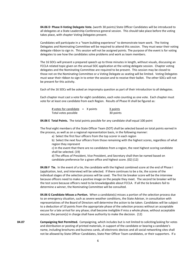**04.06 D Phase II-Voting Delegate Vote.** (worth 30 points) State Officer Candidates will be introduced to all delegates at a State Leadership Conference general session. This should take place before the voting takes place, with chapter Voting Delegates present.

Candidates will participate in a "team building experience" to demonstrate team work. The Voting Delegates and Nominating Committee will be required to attend this session. They must wear their voting delegate ribbon to sign in. This session will not be assigned points. The purpose of the event is for voting delegates to see how the candidates solve problems and work as team members.

The 16 SOCs will present a prepared speech up to three minutes in length, without visuals, discussing an FCCLA related topic given on the annual SOC application at the voting delegate session. Chapter voting delegates and the Nominating Committee are required to be present. This session may be closed to those not on the Nominating Committee or a Voting Delegate as seating will be limited. Voting Delegates must wear their ribbon to sign in to enter the session and to receive their ballot. The other SOCs will not be present for this activity.

Each of the 16 SOCs will be asked an impromptu question as part of their introduction to all delegates.

Each chapter must cast a vote for eight candidates, each vote counting as one vote. Each chapter must vote for at least one candidate from each Region. Results of Phase III shall be figured as:

| # votes for candidate $=$ X points |  | X points  |
|------------------------------------|--|-----------|
| Total votes possible               |  | 30 points |

**04.06 E Total Points.** The total points possible for any candidate shall equal 100 point

The final eight members of the State Officer Team (SOT) shall be selected based on total points earned in the process, as well as on a regional representation basis, in the following manner:

a) Select the first four officers from the top scorer in each region

b) Select the next four officers from those remaining with the highest scores, regardless of what region they represent

c) In the event that there are no candidates from a region, the next highest scoring candidate shall be selected. (19)

d) The offices of President, Vice President, and Secretary shall then be named based on candidate preference for a given office and highest score. (02) (12)

**04.06 F Tie.** In the event of a tie, the candidate with the highest combined score at the end of Phase I (application, test, and interview) will be selected. If there continues to be a tie, the scores of the individual stages of the selection process will be used. The first tie breaker score will be the interview because officers need to make a positive image on the people they meet. The second tie breaker will be the test score because officers need to be knowledgeable about FCCLA. If all the tie breakers fail to determine a winner, the Nominating Committee will be consulted.

**04.06 G Candidate Misses a Portion.** When a candidate(s) misses a portion of the selection process due to an emergency situation, such as severe weather conditions, the State Adviser, in consultation with representatives of the Board of Directors will determine the action to be taken. Candidates will be subject to a deduction of 10 points from the appropriate phase of the selection process without an acceptable excuse for a late arrival for any phase; shall become ineligible if miss a whole phase, without acceptable excuse; the person(s) in charge shall have authority to make the decision. (12)

**04.07 Campaigning Not Permitted.** Campaigning, which includes but is not limited to soliciting/asking for votes and distribution or posting of printed materials, in support of the candidate or bearing a candidate's name, including brochures and business cards, all electronic devices and all social networking sites shall not be allowed by State Officer Candidates, State Peer Officer Team candidates, or their supporters. If a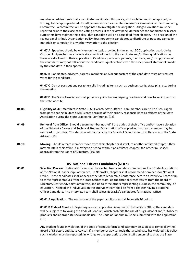member or adviser feels that a candidate has violated this policy, such violation must be reported, in writing, to the appropriate adult staff personnel such as the State Adviser or a member of the Nominating Committee. A committee will be appointed to investigate the allegation. Alleged violations must be reported prior to the close of the voting process. If the review panel determines the candidate or his/her supporters have violated this policy, that candidate will be disqualified from election. The decision of the review panel is final. Organization policy does not permit candidates to distribute or post any campaign materials or campaign in any other way prior to the election.

**04.07 A** Speeches should be written on the topic provided in the annual SOC application available by October 1. Speeches may include statements of merit to the candidate and/or their qualifications as these are disclosed in their applications. Candidates, advisers, parents, members, and/or supporters of the candidates may not talk about the candidate's qualifications with the exception of statements made by the candidate in their speech.

**04.07 B** Candidates, advisers, parents, members and/or supporters of the candidate must not request votes for the candidate.

**04.07 C** Do not pass out any paraphernalia including items such as business cards, state pins, etc. during the meeting.

**04.07 D** The State Association shall provide a guide to campaigning practices and how to avoid them on the state website.

- **04.08 Eligibility of SOT members in State STAR Events.** State Officer Team members are to be discouraged from participating in State STAR Events because of their priority responsibilities as officers of the State Association during the State Leadership Conference. (98)
- **04.09 Removal from Office.** Should a team member not fulfill the duties of their office and/or have a violation of the Nebraska Career and Technical Student Organization officer pledge, that team member may be removed from office. This decision will be made by the Board of Directors in consultation with the State Adviser. (19)
- **04.10 Moving.** Should a team member move from their chapter or district, to another affiliated chapter, they may maintain their office. If moving to a school without an affiliated chapter, the officer must seek approval from the Board of Directors. (19, 20)

# **05 National Officer Candidates (NOCs)**

**05.01 Selection Process.** National Officers shall be elected from candidate nominations from State Associations at the National Leadership Conference. In Nebraska, chapters shall recommend nominees for National Office. These candidates shall appear at the State Leadership Conference before an Interview Team of up to three representatives from the State Officer team, up the three representatives from the Board of Directors/District Advisory Committee, and up to three others representing business, the community, or education. None of the individuals on the interview team shall be from a chapter having a National Officer Candidate. The Interview Team shall select Nebraska's candidates for National Office.

**05.01 A Application.** The evaluation of the paper application shall be worth 10 points.

**05.01 B Code of Conduct.** Beginning once an application is submitted to the State Office, the candidate will be subject to following the Code of Conduct, which prohibits the use of drugs, alcohol and/or tobacco products and appropriate social media use. The Code of Conduct must be submitted with the application. (19)

Any student found in violation of the code of conduct form candidacy may be subject to removal by the Board of Directors and State Adviser. If a member or adviser feels that a candidate has violated this policy, such violation must be reported, in writing, to the appropriate adult staff personnel such as the State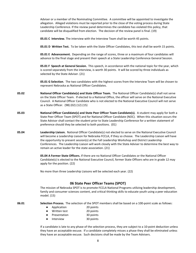Adviser or a member of the Nominating Committee. A committee will be appointed to investigate the allegation. Alleged violations must be reported prior to the close of the voting process during State Leadership Conference. If the review panel determines the candidate has violated this policy, that candidate will be disqualified from election. The decision of the review panel is final. (19)

**05.01 C Interview.** The interview with the Interview Team shall be worth 45 points.

**05.01 D Written Test.** To be taken with the State Officer Candidates, this test shall be worth 15 points.

**05.01 E Advancement.** Depending on the range of scores, three or a maximum of four candidates will advance to the final stage and present their speech at a State Leadership Conference General Session.

**05.01 F Speech at General Session.** This speech, in accordance with the national topic for the year, which is scored separately from the interview, is worth 30 points. It will be scored by three individuals as selected by the State Adviser. (21)

**05.01 G Selection**. The two candidates with the highest scores from the Interview Team will be chosen to represent Nebraska as National Officer Candidates.

- **05.02 National Officer Candidate(s) and State Officer Team.** The National Officer Candidate(s) shall not serve on the State Officer Team. If elected to a National Office, the officer will serve on the National Executive Council. A National Officer Candidate who is not elected to the National Executive Council will not serve as a State Officer. (98) (02) (12) (15)
- **05.03 National Officer Candidate(s) and State Peer Officer Team Candidate(s).** A student may apply for both a State Peer Officer Team (SPOT) and for National Officer Candidate (NOC). When this situation occurs the State Advisor shall contact the student prior to State Leadership Conference for a written statement of preference should they be selected to both positions. (01)
- **05.04 Leadership Liaison.** National Officer Candidate(s) not elected to serve on the National Executive Council will become a Leadership Liaison for Nebraska FCCLA, if they so choose. The Leadership Liaison will have the opportunity to present session(s) at the Fall Leadership Workshop and District Leadership Conferences. The Leadership Liaison will work closely with the State Adviser to determine the best way to remain an active leader for the state association. (21)

**05.04 A Former State Officers.** If there are no National Officer Candidates or the National Officer Candidate(s) is elected to the National Executive Council, former State Officers who are in grade 12 may apply for the position. (22)

No more than three Leadership Liaisons will be selected each year. (22)

# **06 State Peer Officer Teams (SPOT)**

The mission of Nebraska SPOT is to promote FCCLA National Programs utilizing leadership development, family and consumer sciences content, and critical thinking skills to educate youth using a peer education model. (15)

**06.01 Selection Process.** The selection of the SPOT members shall be based on a 100-point scale as follows:

- Application 20 points
- Written test 20 points
- Presentation 30 points
- Interview 30 points

If a candidate is late to any phase of the selection process, they are subject to a 10-point deduction unless they have an acceptable excuse. If a candidate completely misses a phase they shall be eliminated unless they have an acceptable excuse. Such decisions shall be made by the Team Advisers.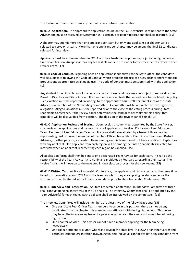The Evaluation Team shall break any tie that occurs between candidates.

**06.01 A Application.** The appropriate application, found on the FCCLA website, is to be sent to the State Adviser and must be received by December 15. Electronic or paper applications shall be accepted. (15)

A chapter may submit more than one applicant per team but only one applicant per chapter will be selected to serve on a team. More than one applicant per chapter may be among the final 12 candidates selected for interview.

Applicants must be active members in FCCLA and be a freshman, sophomore, or junior in high school at time of application. An applicant for any team shall not be a present or former member of any State Peer Officer Team. (17)

**06.01 B Code of Conduct.** Beginning once an application is submitted to the State Office, the candidate will be subject to following the Code of Conduct which prohibits the use of drugs, alcohol and/or tobacco products and appropriate social media use. The Code of Conduct must be submitted with the application. (19)

Any student found in violation of the code of conduct form candidacy may be subject to removal by the Board of Directors and State Adviser. If a member or adviser feels that a candidate has violated this policy, such violation must be reported, in writing, to the appropriate adult staff personnel such as the State Adviser or a member of the Nominating Committee. A committee will be appointed to investigate the allegation. Alleged violations must be reported prior to the close of the voting process during State Leadership Conference. If the review panel determines the candidate has violated this policy, that candidate will be disqualified from election. The decision of the review panel is final. (19)

**06.01 C Application Review and Scoring.** Upon receipt, a committee, appointed by the State Adviser, shall review the applications and narrow the list of applicants to twelve (12) for each Peer Education Team. Each set of Peer Education Team applications shall be evaluated by a team of three people, representing past or present members of the State Officer Team, State Peer Officer Teams and District Advisers, or other persons, as needed. Those serving on this team should not have any direct chapter ties with any applicant. One applicant from each region will be among the final 12 candidates selected for interview when an applicant representing each region has applied. (15)

All application forms shall then be sent to one designated Team Adviser for each team. It shall be the responsibility of the Team Adviser(s) to notify all candidates by February 1 regarding their status. The twelve finalists will move on to the next step in the selection process for the new teams. (15)

**06.01 D Written Test.** At State Leadership Conference, the applicants will take a test all at the same time based on information about FCCLA and the team for which they are applying. A study guide for the written test shall be shared with all finalist candidates prior to State Leadership Conference. (20)

**06.01 E Interview and Presentation.** At State Leadership Conference, an Interview Committee of three shall conduct personal interviews of the 12 finalists. The Interview Committee shall be appointed by the Team Adviser(s) for each team. Each applicant shall be interviewed by the committee. (15)

The Interview Committee will include members of at least two of the following groups: (15)

- One past State Peer Officer Team member: to serve in this position, there cannot be any candidates from the chapter this member was affiliated with during high school. This person may be on the interviewing team of a peer education team they were not a member of during high school.
- One Chapter Adviser: This adviser cannot have a member applying for the team being interviewed.
- One college student or alumni who was active at the state level in FCCLA or another Career and Technical Student Organization (CTSO). Again, this individual cannot evaluate any candidate from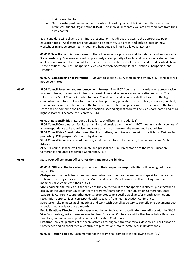their home chapter.

● One industry professional or partner who is knowledgeable of FCCLA or another Career and Technical Student Organization (CTSO). This individual cannot evaluate any candidate from their own chapter.

Each candidate will deliver a 2-3 minute presentation that directly relates to the appropriate peer education topic. Applicants are encouraged to be creative, use props, and include ideas on how workshops might be presented. Videos and handouts shall not be allowed. (12) (15)

**06.01 F Selection and Announcement.** The following office positions shall be selected and announced at State Leadership Conference based on previously stated priority of each candidate, as indicated on their application form, and total cumulative points from the established selection procedures described above. These positions shall be: Chairperson, Vice Chairperson, Secretary, Public Relations Chairperson, and Historian.

**06.01 G Campaigning not Permitted.** Pursuant to section 04.07, campaigning by any SPOT candidate will not be permitted.

**06.02 SPOT Council Selection and Announcement Process.** The SPOT Council shall include one representative from each team, to assume joint team responsibilities and serve as a communication network. The selection of a SPOT Council Coordinator, Vice-Coordinator, and Secretary shall be based on the highest cumulative point total of their four-part selection process (application, presentation, interview, and test). Team advisers will meet to compare the top scores and determine positions. The person with the top score shall be named to the Coordinator position, second highest score will be Vice Coordinator, and third highest score will become the Secretary. (06)

**06.02 A Responsibilities**. Responsibilities for each office shall include: (15)

**SPOT Council Coordinator:** facilitate planning and preside over the joint SPOT meetings, submit copies of all correspondence to Lead Adviser and serve as a liaison between the teams and Lead Adviser. **SPOT Council Vice Coordinator:** send thank you letters, coordinate submission of articles to *Red Leader* promoting SPOT programs/activities by deadlines.

**SPOT Council Secretary:** record minutes, send minutes to SPOT members, team advisers, and State Adviser.

All SPOT Council leaders will coordinate and present the SPOT Presentation at the Peer Education Conference and State Leadership Conference. (17)

# **06.03 State Peer Officer Team Officers Positions and Responsibilities.**

**06.03 A Officers.** The following positions with their respective responsibilities will be assigned to each team. (15)

**Chairperson:** conducts team meetings, may introduce other team members and speak for the team at statewide meetings; review 5th of the Month and Report Back Forms as well as making sure team members have completed their duties.

**Vice-Chairperson:** carries out the duties of the chairperson if the chairperson is absent, puts together a display of the State Peer Education team programs/teams for the Peer Education Conference, State Leadership Conference, and other events; promotes team specific week and/or month activities and recognition opportunities; corresponds with speakers from Peer Education Conference.

**Secretary:** Take minutes at all meetings and work with Overall Secretary to compile one document; post to social media at least once a month

**Public Relations Director:** creates special edition of *Red Leader* (coordinate these efforts with the SPOT Vice Coordinator), writes press release for Peer Education Conference with other team Public Relations Directors; and introduces speakers at Peer Education Conference. (17)

**Historian**: collects pictures of the team activities throughout the year for a slideshow at Peer Education Conference and on social media; contributes pictures and info for State Year in Review book.

**06.03 B Responsibilities.** Each member of the team shall complete the following tasks: (15)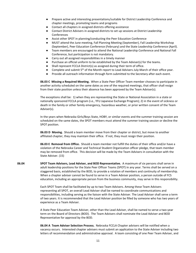- Prepare active and interesting presentations/suitable for District Leadership Conference and chapter meetings, promoting teams and programs
- Contact all chapters in assigned districts offering assistance
- Contact District Advisers in assigned districts to set up sessions at District Leadership Conferences
- Assist other SPOT in planning/conducting the Peer Education Conference
- MUST attend the June meeting, Fall Planning Meeting (September), Fall Leadership Workshop (September), Peer Education Conference (February) and the State Leadership Conference (April).
- Team members are encouraged to attend the National Leadership Conference and National Fall Conference, but participation is not mandatory.
- Carry out all assigned responsibilities in a timely manner
- Purchase an official uniform to be established by the Team Adviser(s) for the teams.
- Shall represent FCCLA District(s) as assigned during their term of office.
- Complete and submit 5<sup>th</sup> of the Month report to Lead Advisers July-March of their office year.
- Provide all outreach information through form submitted to the Secretary after each event.

**06.03 C Missing a Required Meeting.** When a State Peer Officer Team member chooses to participate in another activity scheduled on the same dates as one of the required meetings, that officer shall resign from their state position unless their absence has been approved by the Team Adviser(s).

The exceptions shall be: 1) when they are representing the State or National Association in a state or nationally sponsored FCCLA program (i.e., YFU Japanese Exchange Program); 2) in the event of sickness or death in the family or other family emergency, hazardous weather, or prior written consent of the Team Adviser(s).

In the years when Nebraska Girls/Boys State, HOBY, or similar events and the summer training session are scheduled on the same dates, the SPOT members must attend the summer training session or decline the SPOT position.

**06.03 D Moving.** Should a team member move from their chapter or district, but move to another affiliated chapter, they may maintain their office. If not, they must resign their position.

**06.03 E Removal from Office.** Should a team member not fulfill the duties of their office and/or have a violation of the Nebraska Career and Technical Student Organization officer pledge, that team member may be removed from office. This decision will be made by the Team Advisers in consultation with the State Adviser. (15)

**06.04 SPOT Team Advisers, Lead Adviser, and BOD Representative.** A maximum of six persons shall serve in adult leadership positions for the State Peer Officer Teams (SPOT) in any year. Terms shall be served on a staggered basis, established by the BOD, to provide a rotation of members and continuity of membership. When a chapter adviser cannot be found to serve in a Team Adviser position, a person outside of FCS education, including an appropriate person from the business community, may serve in this responsibility.

> Each SPOT Team shall be facilitated by up to two Team Advisers. Among these Team Advisers representing all SPOT, an overall Lead Adviser shall be named to coordinate communications and responsibilities, including serving as the liaison with the State Adviser. The Lead Adviser shall serve a term of two years. It is recommended that the Lead Adviser position be filled by someone who has two years of experience as a Team Adviser.

A State Peer Education Team Adviser, other than the Lead Adviser, shall be named to serve a two-year term on the Board of Directors (BOD). The Team Advisers shall nominate the Lead Adviser and BOD Representative for approval by the BOD.

**06.04 A Team Adviser Selection Process.** Nebraska FCCLA Chapter advisers will be notified when a vacancy occurs. Interested chapter advisers must submit an application to the State Adviser including two letters of recommendation and administrative approval. A team consisting of one Peer Team Adviser, and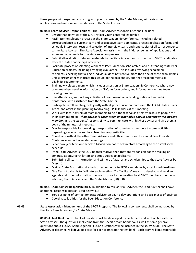three people with experience working with youth, chosen by the State Adviser, will review the applications and make recommendations to the State Adviser.

**06.04 B Team Adviser Responsibilities.** The Team Adviser responsibilities shall include:

- Ensure that activities of the SPOT reflect youth centered leadership
- Facilitate the selection process at the State Leadership Conference, including related correspondence to current team and prospective team applicants, process application forms and schedule interviews, tests and selection of interview team, and send copies of all correspondence to the State Adviser. The State Association assists with the initial screening of applications and arranges room needs for the state selection process.
- Submit all evaluation data and materials to the State Adviser for distribution to SPOT candidates after the State Leadership Conference.
- Facilitate process of selecting winners of Peer Education scholarships and outstanding state Peer Education projects, including arranging evaluators. This includes reviewing scholarship recipients, checking that a single individual does not receive more than one of these scholarships unless circumstances indicate this would be the best choice, and that recipient meets all eligibility requirements.
- Train newly elected team, which includes a session at State Leadership Conference where new team members receive information on NLC, uniform orders, and information on June team training meeting
- If in attendance, support any activities of team members attending National Leadership Conference with assistance from the State Adviser.
- Participate in fall meeting, held jointly with all peer education teams and the FCCLA State Officer Team, and assist in the planning for/training SPOT leaders at this meeting
- Work with local advisers of team members to help them serve as effective resource people for their team members. *If an adviser is absent then another adult should accompany the student member.* It is the students' responsibility to communicate with his/her adviser and give them a copy of the minutes of meetings.
- May be responsible for providing transportation of some team members to some activities, depending on location and local teaching responsibilities
- Coordinate with all the other Team Advisers and officer teams for the annual Peer Education Conference and other related meetings.
- Serve two-year term on the State Association Board of Directors according to the established schedule.
- If the Team Adviser is the BOD Representative, then they are responsible for the mailing of congratulations/regret letters and study guides to applicants.
- Submitting all team information and winners of awards and scholarships to the State Adviser by March 1.
- Mail all State Association drafted correspondence to SPOT candidates by established deadlines.
- One Team Adviser is to facilitate each meeting. To "facilitate" means to develop and send an agenda and other information one month prior to the meeting to all SPOT members, their local advisers, Team Advisers, and the State Adviser. (98) (00)

**06.04 C Lead Adviser Responsibilities.** In addition to role as SPOT Adviser, the Lead Adviser shall have additional responsibilities as listed below: (15)

- Serve as point-of-contact for State Adviser on day-to-day operations and basic pieces of business
- Coordinate facilities for the Peer Education Conference

**06.05 State Association Management of the SPOT Program.** The following components shall be managed by the State Association and/or State Adviser

> **06.05 A Test Bank.** A test bank of questions will be developed by each team and kept on file with the State Adviser. The questions shall come from the specific team handbook as well as some general questions about FCCLA. Sample general FCCLA questions will be included in the study guide. The State Adviser, or designee, will develop a test for each team from the test bank. Each team will be responsible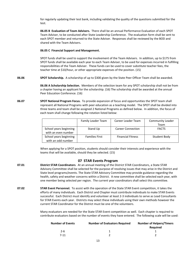for regularly updating their test bank, including validating the quality of the questions submitted for the test.

**06.05 B Evaluation of Team Advisers.** There shall be an annual Performance Evaluation of each SPOT Team Adviser, to be conducted after State Leadership Conference. The evaluation form shall be sent to each SPOT member and returned to the State Adviser. Responses shall be reviewed by the BOD and shared with the Team Advisers.

#### **06.05 C Financial Support and Management.**

SPOT funds shall be used to support the involvement of the Team Advisers. In addition, up to \$175 from SPOT funds shall be available each year to each Team Adviser, to be used for expenses incurred in fulfilling responsibilities of the Team Adviser. These funds can be used to cover substitute teacher fees, the teacher time at \$10/hour, or other appropriate expenses of the position. (15)

**06.06 SPOT Scholarship.** A scholarship of up to \$300 given by the State Peer Officer Team shall be awarded.

**06.06 A Scholarship Selection.** Members of the selection team for any SPOT scholarship shall not be from a chapter having an applicant for the scholarship. (16) The scholarship shall be awarded at the annual Peer Education Conference. (16)

**06.07 SPOT National Program Focus.** To provide expansion of focus and opportunities the SPOT team shall represent all National Programs with peer education as a teaching model. The SPOT shall be divided into three teams and team shall be assigned 2 National Programs as defined below. In addition, the focus of each team shall change following the rotation listed below:

|                                               | Family Leader Team    | Career Leader Team       | <b>Community Leader</b> |
|-----------------------------------------------|-----------------------|--------------------------|-------------------------|
|                                               |                       |                          | Team                    |
| School years beginning<br>with an even number | Stand Up              | <b>Career Connection</b> | <b>FACTS</b>            |
| School years beginning<br>with an odd number  | <b>Families First</b> | <b>Financial Fitness</b> | Student Body            |

When applying for a SPOT position, students should consider their interests and experience with the teams that will be available, should they be selected. (15)

# **07 STAR Events Program**

- **07.01 District STAR Coordinators**. At an annual meeting of the District STAR Coordinators, a State STAR Advisory Committee shall be selected for the purpose of resolving issues that may arise in the District and State level programs/events. The State STAR Advisory Committee may provide guidance regarding the health, safety and weather concerns within a District. A new committee shall be selected each year, with one member being selected per region. The current year coordinators shall select this committee.
- **07.02 STAR Event Personnel.** To assist with the operation of the State STAR Event competition, it takes the efforts of many individuals. Each District and Chapter must contribute individuals to make STAR Events successful. Each District must identify and volunteer at least 2-3 individuals to serve as Lead Consultants for STAR Events each year. Districts may select these individuals using their own methods however the current STAR Coordinator for the District must be one of the volunteers.

Many evaluators are needed for the State STAR Event competition as well. Each chapter is required to contribute evaluators based on the number of events they have entered. The following scale will be used:

| Number of Events | <b>Number of Evaluators Required</b> | <b>Number of Helpers/Timers</b> |  |
|------------------|--------------------------------------|---------------------------------|--|
|                  |                                      | Reauired                        |  |
| 2-6.             |                                      |                                 |  |
| $7 - 11$         |                                      |                                 |  |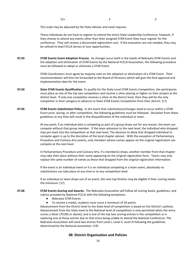$12+$  3 3

This scale may be adjusted by the State Adviser and need requires.

These individuals do not have to register to attend the entire State Leadership Conference, however, if they choose to attend any events other than their assigned STAR Event they must register for the conference. They will receive a discounted registration cost. If the evaluators are not needed, they may be utilized to lead FCCLA Serves or tour opportunities.

**07.03 STAR Events Event Adoption Process.** As changes occur both in the needs of Nebraska STAR Events and the adoption and elimination of STAR Events by the National FCCLA Association, the following procedure must be followed to adopt or eliminate a STAR Event.

> STAR Coordinators must agree by majority vote on the adoption or elimination of a STAR Event. Their recommendation will then be forwarded to the Board of Directors which will give the final approval and implementation date for the event.

- **07.04 State STAR Events Qualification.** To qualify for the State Level STAR Events Competition, the participants must place as one of the top two competitors and receive a silver placing or higher on their project at the district level. If only one competitor receives a silver at the district level, then they will be the only competitor in their category to advance to State STAR Events Competition from their district. (17)
- **07.05 STAR Events Substitution Policy.** In the event that substitutions/changes need to occur within a STAR Event prior, during, or after competition, the following guidelines must be followed. Deviation from these guidelines at any time will result in the disqualification of the individual or team.

At any point, if an individual who is competing as part of a group drops out for any reason, the team can compete without that group member. If the team advances to the next level, the individual who dropped may join back into the competition at that next level. The decision to allow that dropped individual to compete again is up to the discretion of the local chapter adviser. With the exception of Parliamentary Procedure and Culinary Arts events, only members whose names appear on the original registration can compete at the next level.

In Parliamentary Procedure and Culinary Arts, if a member(s) drops, another member from that chapter may take their place without their name appearing on the original registration form. Teams may only replace the same number of names as those that dropped from the original registration information.

If the event is an individual event or it is an individual competing in a team event, absolutely no substitutions can take place at any time or at any competition level.

If an individual or team drops out of an event, the next top finisher may be eligible if their scoring meets the minimum. (17)

#### **07.06 STAR Events Scoring and Awards.** The Nebraska Association will follow all scoring levels, guidelines, and rubrics provided by National FCCLA with the following exceptions:

- Nebraska STAR Events
- To receive a medal, students must score a minimum of 50 points

Advancement from the District level to the State level of competition is based on the District's policies. Advancement from the State level to the National level of competition is only permitted when the entry scores a Silver (70.00) or above), and is one of the top two scoring entries in the competition or is replacing one of those entries due to that entry being unable to attend the National Conference. The Nebraska Association will send two entries from Level I, Level II, Level III following the guidelines determined by the National association. (19)

# **08 District Organization and Policies**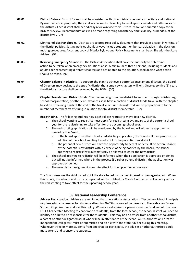- **08.01 District Bylaws**. District Bylaws shall be consistent with other districts, as well as the State and National Bylaws. Where appropriate, they shall also allow for flexibility to meet specific needs and differences in the districts. Each district shall periodically review/revise their District Bylaws and submit a copy to the BOD for review. Recommendations will be made regarding consistency and flexibility, as needed, at the district level. (97)
- **08.02 District Policies Handbooks.** Districts are to prepare a policy document that provides a copy, in writing, of the district policies. Setting policies should always include student member participation in the decision making procedures. A current copy of District Bylaws and Policy Statements shall be on file with the State Adviser. (97)
- **08.03 Resolving Emergency Situations.** The District Association shall have the authority to determine action to be taken when emergency situations arise. A minimum of three persons, including students and adults each representing different chapters and not related to the situation, shall decide what action should be taken. (97)
- **08.04 Chapter Balance in Districts.** To support the plan to achieve a better balance among districts, the Board of Directors may designate the specific district that some new chapters will join. Once every five (5) years the district structure shall be reviewed by the BOD. (00)
- **08.05 Chapter Transfer and District Funds.** Chapters moving from one district to another through redistricting, school reorganization, or other circumstances shall have a portion of district funds travel with the chapter based on remaining funds at the end of the fiscal year. Funds transferred will be proportionate to the number of members transferring in relation to total district membership. (02)

# **08.06 Redistricting**. The following outlines how a school can request to move to a new district.

- 1. The school wanting to redistrict must apply for redistricting by January 1 of the current school year for the redistricting to take effect for the upcoming school year.
- 2. The redistricting application will be considered by the board and will either be approved or denied by the Board.
	- a. If the board approves the school's redistricting application, the Board will then propose the addition of the school wanting to redistrict to the potential new district.
	- b. The potential new district will have the opportunity to accept or deny. If no action is taken by the potential new district within 2 weeks of being notified by the Board, the school applying to redistrict will automatically be allowed to enter the new district.
- 3. The school applying to redistrict will be informed when their application is approved or denied but will not be informed where in the process (Board or potential district) the application was approved or denied.
- 4. The new district assignment goes into effect for the upcoming school year.

The Board reserves the right to redistrict the state based on the best interest of the organization. When this occurs, the schools and districts impacted will be notified by March 1 of the current school year for the redistricting to take effect for the upcoming school year.

# **09 National Leadership Conference**

**09.01 Adviser Participation**. Advisers are reminded that the National Association of Secondary School Principals requires adult chaperones for students attending NASSP-sponsored conferences. The Nebraska Career Student Organizations endorse this policy. When a local adviser or parent cannot attend an out of school FCCLA Leadership Meeting to chaperone a student(s) from the local school, the school district will need to identify an adult to be responsible for the student(s). This may be an adviser from another school district, a parent or other designated adult who will be in attendance at the event. An "Authorization Form for Independent Delegates" must be submitted and on file with the State Adviser during this meeting. Whenever three or more students from one chapter participate, the adviser or other authorized adult, must attend and sponsor the students.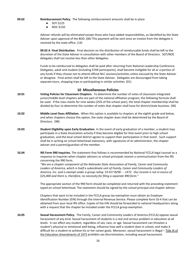**09.02 Reimbursement Policy.** The following reimbursement amounts shall be in place

- SOT-\$125
- NOC-\$150

Adviser refunds will be eliminated except those who have added responsibilities, as identified by the State Adviser upon approval of the BOD. (06) This payment will be sent once an invoice from the delegate is received by the state office. (14)

**09.02 A Final Distribution.** Final decision on the distribution of reimbursable funds shall be left to the discretion of the State Adviser in consultation with other members of the Board of Directors. SOT/NOC delegates shall not receive less than other delegates.

Funds to be reimbursed to delegates shall be paid after returning from National Leadership Conference. Delegates, adult and student (including STAR participants), shall become ineligible for all or a portion of any funds if they choose not to attend official NLC sessions/activities unless excused by the State Adviser or designee. Final action shall be left to the State Adviser. Delegates are discouraged from taking separate tours, shopping trips or participating in similar activities. (01)

# **10 Miscellaneous Policies**

- **10.01 Voting Policies for Classroom Chapters.** To determine the number of votes of classroom integrated junior/middle level chapters who are part of the national affiliation program, the following formula shall be used. If the class meets for nine weeks (25% of the school year), the total chapter membership shall be divided by four to determine the number of votes that chapter shall have for district/state business. (96)
- **10.02 Middle Level Dues Affiliation.** When this option is available to chapters at the eighth grade and below, and when chapters choose this option, the state chapter dues shall be determined by the Board of Directors. (98)
- **10.03 Student Eligibility upon Early Graduation.** In the event of early graduation of a member, a student may participate in a State Association activity if they become eligible for that event prior to high school graduation, and the local school district agrees to support their participation in that event. Such support shall be in writing on school letterhead stationery, with signatures of an administrator, the chapter adviser and a parent/guardian of the member.
- **10.04 IRS Form 990 Inquiries.** The statement that follows is recommended by National FCCLA legal counsel as a response to inquiries when chapter advisers or school principals receive a communication from the IRS concerning the 990 form.

*"We are a chapter component of the Nebraska State Association of Family, Career and Community Leaders of America, which is itself a subordinate unit of Family, Career and Community Leaders of America, Inc. and is exempt under a group ruling: 53 017 8290 - - 1472. Our income is not in excess of \$25,000 and there is, therefore, no necessity for filing a separate 990 form."*

The appropriate section of the 990 form should be completed and returned with the preceding statement typed on school letterhead. The statement should be signed by the school principal and chapter adviser.

Chapters that want to be included in the FCCLA group tax exemption must obtain an Employer Identification Number (EIN) through the Internal Revenue Service. Please complete form SS-4 that can be obtained from your local IRS office. Copies of the EIN should be forwarded to national headquarters along with a request that the chapter be included under the FCCLA group exemption.

**10.05 Sexual Harassment Policy.** The Family, Career and Community Leaders of America (FCCLA) oppose sexual harassment of any kind. Sexual harassment of students is a real and serious problem in education at all levels. It can affect any student, regardless of sex, race, or age. Sexual harassment can threaten a student's physical or emotional well-being, influence how well a student does in school, and make it difficult for a student to achieve his or her career goals. Moreover, sexual harassment is illegal – Title IX of the Education Amendments of 1972 prohibits sex discrimination, including sexual harassment.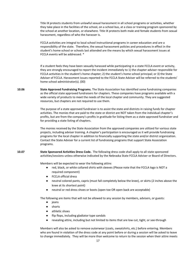Title IX protects students from unlawful sexual harassment in all school programs or activities, whether they take place in the facilities of the school, on a school bus, at a class or training program sponsored by the school at another location, or elsewhere. Title IX protects both male and female students from sexual harassment, regardless of who the harasser is.

FCCLA activities are integral to local school instructional programs in career education and are a responsibility of the state. Therefore, the sexual harassment policies and procedures in effect in the student's home school or schools last attended are the means by which sexual harassment issues at FCCLA events will be addressed. \*

If a student feels they have been sexually harassed while participating in a state FCCLA event or activity, they are strongly encouraged to report the incident immediately to 1) the chapter adviser responsible for FCCLA activities in the student's home chapter; 2) the student's home school principal; or 3) the State Adviser of FCCLA. Harassment issues reported to the FCCLA State Adviser will be referred to the students' home school administrator(s). (00)

**10.06 State Approved Fundraising Programs.** The State Association has identified some fundraising companies as the official state approved fundraisers for chapters. These companies have programs available with a wide variety of products to meet the needs of the local chapter and community. They are suggested resources, but chapters are not required to use them.

> The purpose of a state approved fundraiser is to assist the state and districts in raising funds for chapter activities. The monies that are paid to the state or district are NOT taken from the individual chapter's profits, but are from the company's profits in gratitude for listing them as a state approved fundraiser and for providing a state listing of chapters.

The monies received by the State Association from the approved companies are utilized for various state projects, including adviser training. A chapter's participation is encouraged as it will provide fundraising programs for the local chapter in addition to financially supporting the state and/or district organization. Contact the State Adviser for a current list of fundraising programs that support State Association programs.

**10.07 State Sponsored Activities Dress Code.** The following dress code shall apply to all state sponsored activities/sessions unless otherwise indicated by the Nebraska State FCCLA Adviser or Board of Directors.

Members will be expected to wear the following attire:

- red, black, or white collared shirts with sleeves (Please note that the FCCLA logo is NOT a required component)
- FCCLA official dress
- neutral colored pants, capris (must fall completely below the knee), or skirts (2 inches above the knee at its shortest point)
- neutral or red dress shoes or boots (open toe OR open back are acceptable)

The following are items that will not be allowed to any session by members, advisers, or guests:

- jeans
- shorts
- athletic shoes
- flip flops, including gladiator type sandals
- revealing attire, including but not limited to items that are low cut, tight, or see-through

Members will also be asked to remove outerwear (coats, sweatshirts, etc.) before entering. Members who are found in violation of the dress code at any point before or during a session will be asked to leave to change immediately. They will be more than welcome to return to the session when their attire meets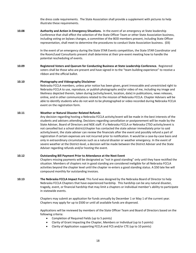the dress code requirements. The State Association shall provide a supplement with pictures to help illustrate these requirements.

**10.08 Authority and Action in Emergency Situations.** In the event of an emergency at State leadership Conference that shall effect the selection of the State Officer Team or other State Association business, including voting on bylaws changes, a committee of the BOD members present, including State Officer representation, shall meet to determine the procedures to conduct State Association business. (03)

> In the event of an emergency during the State STAR Events competition, the State STAR Coordinator and the Room/Lead Consultants present shall determine at their pre-event meeting how to handle the potential rescheduling of events.

**10.09 Registered Voters and Quorum for Conducting Business at State Leadership Conference.** Registered voters shall be those who are present and have signed in to the "team building experience" to receive a ribbon and the official ballot.

#### **10.10 Photography and Videography Disclaimer**

Nebraska FCCLA members, unless prior notice has been given, grant irrevocable and unrestricted right to Nebraska FCCLA to use, reproduce, or publish photographs and/or video of me, including my image and likeliness depicted therein, taken during (activity/event, location, date) in publications, news releases, online, and in other communications related to the mission of Nebraska FCCLA. Chapter Advisers will be able to identify students who do not wish to be photographed or video recorded during Nebraska FCCLA event on the registration form.

#### **10.11 Weather or Natural Disaster Related Refunds**

Any decision regarding hosting a Nebraska FCCLA activity/event will be made in the best interests of the students and advisers attending. Decisions regarding cancellation or postponement will be made by the State Adviser, Board of Directors and NDE staff. If a Nebraska FCCLA or Nebraska CTSO activity/event is not cancelled but a school district/chapter has contacted the state adviser immediately prior to said activity/event, the state adviser can review the financials after the event and possibly refund a part of registration if certain expenses are not incurred prior to notification. It would be a case-by-case basis and only in extraordinary circumstances such as a natural disaster or weather emergency. In the event of severe weather at the District-level, a decision will be made between the District Adviser and the State Adviser regarding refunds and/or hosting the event.

#### **10.12 Outstanding Bill Payment Prior to Attendance at the Next Event**

Chapters missing payments will be designated as "not in good standing" only until they have rectified the situation. Members of chapters not in good standing are considered ineligible for all Nebraska FCCLA activities beyond the chapter level until the chapter re-enters a good standing status. A \$50 late fee will compound monthly for outstanding invoices.

**10.13 The Nebraska FCCLA Impact Fund.** This fund was designed by the Nebraska Board of Director to help Nebraska FCCLA Chapters that have experienced hardship. This hardship can be any natural disaster, tragedy, event, or financial hardship that may limit a chapters or individual member's ability to participate in statewide events.

> Chapters may submit an application for funds annually by December 1 or May 1 of the current year. Chapters may apply for up to \$500 or until all available funds are dispersed.

Applications will be reviewed by members of the State Officer Team and Board of Directors based on the following criteria:

- Completion of Required Fields (up to 5 points)
- Clarity of Grant Impacting the Chapter, Members or Individual (up to 5 points)
- Clarity of Application supporting FCCLA and FCS and/or CTE (up to 10 points)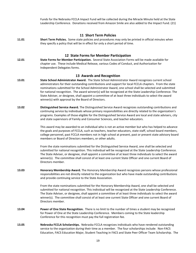Funds for the Nebraska FCCLA Impact Fund will be collected during the Miracle Minute held at the State Leadership Conference. Donations received from Amazon Smile are also added to the Impact Fund. (21)

- **11 Short Term Policies 11.01 Short Term Policies.** Some state policies and procedures may only be printed in official minutes when they specify a policy that will be in effect for only a short period of time. **12 State Forms for Member Participation 12.01 State Forms for Member Participation.** Several State Association Forms will be made available for chapter use. These include Medical Release, various Codes of Conduct, and Authorization for Independent Delegates forms. **13 Awards and Recognition 13.01 State School Administrator Award.** The State School Administrator Award recognizes current school administrators for their outstanding contributions and support for local FCCLA chapters. From the state nominations submitted for the School Administrator Award, one school shall be selected and submitted for national recognition. The award winner(s) will be recognized at the State Leadership Conference. The State Adviser, or designee, shall appoint a committee of at least three individuals to select the award winner(s) with approval by the Board of Directors. **13.02 Distinguished Service Award.** The Distinguished Service Award recognizes outstanding contributions and continuing service by individuals whose primary responsibilities are directly related to the organization's programs. Examples of those eligible for the Distinguished Service Award are local and state advisers, city and state supervisors of Family and Consumer Sciences, and teacher educators. This award may be awarded to an individual who is not an active member but who has helped to advance the goals and purposes of FCCLA, such as teachers, teacher educators, state staff, school board members, college personnel, past FCCLA members not in high school at present, past or present state advisory board members or Board of Directors members, or other adults. From the state nominations submitted for the Distinguished Service Award, one shall be selected and submitted for national recognition. This individual will be recognized at the State Leadership Conference. The State Adviser, or designee, shall appoint a committee of at least three individuals to select the award winner(s). The committee shall consist of at least one current State Officer and one current Board of Directors member. **13.03 Honorary Membership Award.** The Honorary Membership Award recognizes persons whose professional responsibilities are not directly related to the organization but who have made outstanding contributions and provide continuing service to the State Association. From the state nominations submitted for the Honorary Membership Award, one shall be selected and submitted for national recognition. This individual will be recognized at the State Leadership Conference. The State Adviser, or designee, shall appoint a committee of at least three individuals to select the award winner(s). The committee shall consist of at least one current State Officer and one current Board of Directors member.
- **13.04 Power of One State Recognition.** There is no limit to the number of times a student may be recognized for Power of One at the State Leadership Conference. Members coming to the State leadership Conference for this recognition must pay the full registration fee.
- **13.05 Nebraska FCCLA Scholarships.** Nebraska FCCLA recognizes individuals who have rendered outstanding service to the organization during their time as a member. The four scholarships include: Non-FACS Education, FACS Education Major, Student Teaching in FACS and State Peer Officer Team Scholarship. The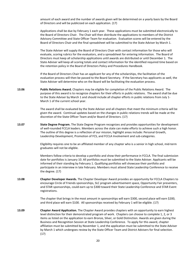amount of each award and the number of awards given will be determined on a yearly basis by the Board of Directors and will be publicized on each application. (17)

Applications shall be due by February 1 each year. These applications must be submitted electronically to the Board of Directors Chair. The Chair will then distribute the applications to members of the District Advisory Committee and State Officer Team for evaluation. Evaluation scores will be entered by the Board of Directors Chair and the final spreadsheet will be submitted to the State Adviser by March 1.

The State Adviser will supply the Board of Directors Chair with contact information for those who will evaluate, scoring rubrics for the evaluators, and a spreadsheet for entering information. The Board of Directors must keep all scholarship applications until awards are distributed or until December 1. The State Adviser will keep all scoring totals and contact information for the identified required time based on the retention policy in the Board of Directors Policy and Procedures Handbook.

If the Board of Directors Chair has an applicant for any of the scholarships, the facilitation of the evaluation process will then be passed to the Board Secretary. If the Secretary has applicants as well, the State Adviser will determine who on the Board will be facilitating the evaluation process.

**13.06 Public Relations Award.** Chapters may be eligible for completion of the Public Relations Award. The purpose of this award is to recognize chapters for their efforts in public relations. The award shall be due to the State Adviser by March 1 and should include all chapter efforts in public relations from July 1- March 1 of the current school year.

> The award shall be evaluated by the State Adviser and all chapters that meet the minimum criteria will be given the award. Continual updates based on the changes in public relations trends will be made at the discretion of the State Officer Team and/or Board of Directors. (17)

**13.07 State Degree Program.** The State Degree Program recognizes and provides opportunities for development of well-rounded FCCLA leaders. Members across the state can make efforts to achieve such a high honor. The outline of this degree is a reflection of our mission, highlight areas include: Personal Growth, Leadership Development, Promotion of FCS, and FCCLA Involvement and sub-categories.

> Eligibility requires one to be an affiliated member of any chapter who is a senior in high school, mid-term graduates will not be eligible.

> Members follow criteria to develop a portfolio and show their performance in FCCLA. The final submission date for portfolios is January 10. All portfolios must be submitted to the State Adviser. Applicants will be informed of their standing by February 1. Qualifying portfolios will showcase their portfolio and participate in an interview in late February. Members must attend State Leadership Conference to receive the degree. (17)

**13.08 Chapter Developer Awards.** The Chapter Developer Award provides an opportunity for FCCLA Chapters to encourage Circle of Friends sponsorships, SLC program advertisement space, Opportunity Fair presenters, and STAR sponsorships, could earn up to \$300 toward their State Leadership Conference and STAR Event registrations.

> The chapter that brings in the most amount in sponsorships will earn \$300, second place will earn \$200, and third place will earn \$100. All sponsorships received by February 1 will be eligible. (17)

**13.09 Chapter Award Application.** The Chapter Award provides chapters with an opportunity to earn highest level distinction for their demonstrated program of work. Chapters can choose to complete 1, 2, or 3 items as listed on the application to earn Bronze, Silver, or Gold Distinction. Awards are given during the Business and Recognition Session at State Leadership Conference. To apply for this award, chapter affiliation must be submitted by November 1, and the application must be submitted to the State Adviser by March 1 which undergoes review by the State Officer Team and District Advisers for final selection. (17)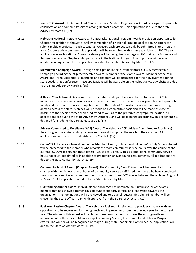- **13.10 Joint CTSO Award.** The Annual Joint Career Technical Student Organization Award is designed to promote collaboration and community service among Nebraska Chapters. This application is due to the State Adviser by March 1. (17)
- **13.11 Nebraska National Program Awards.** The Nebraska National Program Awards provide an opportunity for Chapter recognition at the State level by completion of a National Program application. Chapters can submit multiple projects in each category; however, each project can only be submitted in one Program area. Chapters who complete this application will be recognized with a name tag ribbon at SLC. The top application in each National Program category will be recognized on stage at SLC during the Business and Recognition session. Chapters who participate in the National Program Award process will receive additional recognition. These applications are due to the State Adviser by March 1. (17)
- **13.12 Membership Campaign Award.** Through participation in the current Nebraska FCCLA Membership Campaign (including the 7Up Membership Award, Member of the Month Award, Member of the Year Award and Three Musketeers), members and chapters will be recognized for their involvement during State Leadership Conference. These applications will be available on the Nebraska FCCLA website are due to the State Adviser by March 1. (19)
- **13.14 A Day in Your Future.** A Day in Your Future is a state-wide job shadow initiative to connect FCCLA members with family and consumer sciences occupations. The mission of our organization is to promote family and consumer sciences occupations and in the state of Nebraska, these occupations are in high demand across the state. Matches will be made on a competitive basis and will be made as close as possible to the specific career choice indicated as well as to the preferred geographical location. All applications are due to the State Adviser by October 1 and will be matched accordingly. This experience is designed for students that are at least age 16. (17)
- **13.15 Adviser Committed to Excellence (ACE) Award.** The Nebraska ACE (Adviser Committed to Excellence) Award is given to advisers who go above and beyond to support the needs of their chapter. All applications are due to the State Adviser by March 1. (17)
- **13.16 CommYOUnity Service Award (Individual Member Award).** The individual CommYOUnity Service Award will be presented to the member who records the most community service hours over the course of the current FCCLA year between these dates: August 1 to March 1. This is stand-alone community service hours not court-appointed or in addition to graduation and/or course requirements. All applications are due to the State Adviser by March 1. (19)
- **13.17 Community ServUS Award (Chapter Award).** The Community ServUS Award will be presented to the chapter with the highest ratio of hours of community service to affiliated members who have completed the community service activities over the course of the current FCCLA year between these dates: August 1 to March 1. All applications are due to the State Adviser by March 1. (19)
- **13.18 Outstanding Alumni Award.** Individuals are encouraged to nominate an Alumni and/or Associates member that has shown a tremendous amount of support, service, and leadership towards the organization. The nominations will be reviewed and one overall outstanding alumni member will be chosen by the State Officer Team with approval from the Board of Directors. (19)
- **13.19 Fuel Your Passion Chapter Award.** The Nebraska Fuel Your Passion Award provides chapters with an opportunity to be recognized for their growth and improvement from the previous year to the current year. The winner of this award will be chosen based on chapters that show the most growth and improvement in the areas of Membership, Community Service, Involvement and National Program efforts. The winner will be recognized on stage during State Leadership Conference. All applications are due to the State Adviser by March 1. (19)